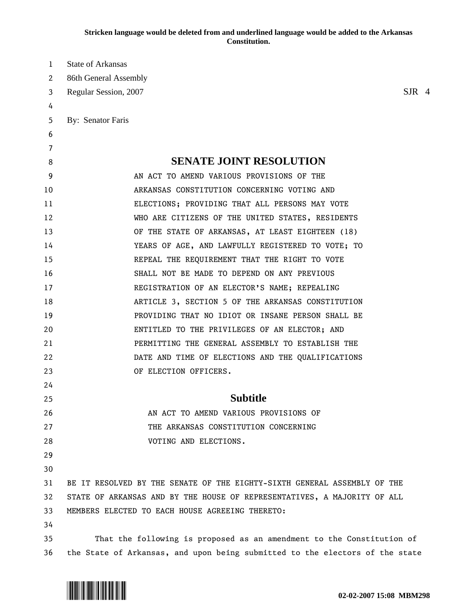| 1  | <b>State of Arkansas</b>                                                     |          |  |
|----|------------------------------------------------------------------------------|----------|--|
| 2  | 86th General Assembly                                                        |          |  |
| 3  | Regular Session, 2007                                                        | $S$ JR 4 |  |
| 4  |                                                                              |          |  |
| 5  | By: Senator Faris                                                            |          |  |
| 6  |                                                                              |          |  |
| 7  |                                                                              |          |  |
| 8  | <b>SENATE JOINT RESOLUTION</b>                                               |          |  |
| 9  | AN ACT TO AMEND VARIOUS PROVISIONS OF THE                                    |          |  |
| 10 | ARKANSAS CONSTITUTION CONCERNING VOTING AND                                  |          |  |
| 11 | ELECTIONS; PROVIDING THAT ALL PERSONS MAY VOTE                               |          |  |
| 12 | WHO ARE CITIZENS OF THE UNITED STATES, RESIDENTS                             |          |  |
| 13 | OF THE STATE OF ARKANSAS, AT LEAST EIGHTEEN (18)                             |          |  |
| 14 | YEARS OF AGE, AND LAWFULLY REGISTERED TO VOTE; TO                            |          |  |
| 15 | REPEAL THE REQUIREMENT THAT THE RIGHT TO VOTE                                |          |  |
| 16 | SHALL NOT BE MADE TO DEPEND ON ANY PREVIOUS                                  |          |  |
| 17 | REGISTRATION OF AN ELECTOR'S NAME; REPEALING                                 |          |  |
| 18 | ARTICLE 3, SECTION 5 OF THE ARKANSAS CONSTITUTION                            |          |  |
| 19 | PROVIDING THAT NO IDIOT OR INSANE PERSON SHALL BE                            |          |  |
| 20 | ENTITLED TO THE PRIVILEGES OF AN ELECTOR; AND                                |          |  |
| 21 | PERMITTING THE GENERAL ASSEMBLY TO ESTABLISH THE                             |          |  |
| 22 | DATE AND TIME OF ELECTIONS AND THE QUALIFICATIONS                            |          |  |
| 23 | OF ELECTION OFFICERS.                                                        |          |  |
| 24 |                                                                              |          |  |
| 25 | <b>Subtitle</b>                                                              |          |  |
| 26 | AN ACT TO AMEND VARIOUS PROVISIONS OF                                        |          |  |
| 27 | THE ARKANSAS CONSTITUTION CONCERNING                                         |          |  |
| 28 | VOTING AND ELECTIONS.                                                        |          |  |
| 29 |                                                                              |          |  |
| 30 |                                                                              |          |  |
| 31 | BE IT RESOLVED BY THE SENATE OF THE EIGHTY-SIXTH GENERAL ASSEMBLY OF THE     |          |  |
| 32 | STATE OF ARKANSAS AND BY THE HOUSE OF REPRESENTATIVES, A MAJORITY OF ALL     |          |  |
| 33 | MEMBERS ELECTED TO EACH HOUSE AGREEING THERETO:                              |          |  |
| 34 |                                                                              |          |  |
| 35 | That the following is proposed as an amendment to the Constitution of        |          |  |
| 36 | the State of Arkansas, and upon being submitted to the electors of the state |          |  |

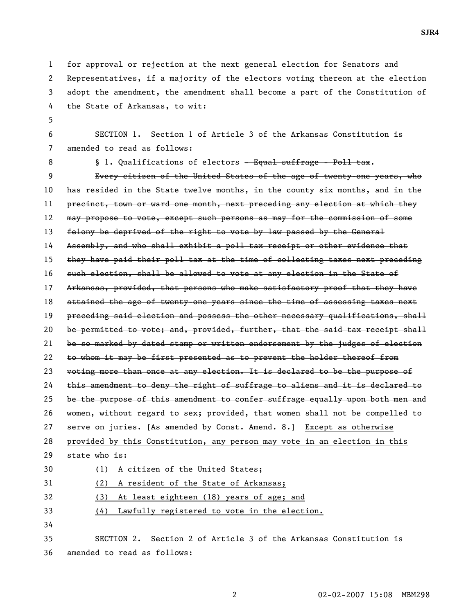1 for approval or rejection at the next general election for Senators and 2 Representatives, if a majority of the electors voting thereon at the election 3 adopt the amendment, the amendment shall become a part of the Constitution of 4 the State of Arkansas, to wit: 5 6 SECTION 1. Section 1 of Article 3 of the Arkansas Constitution is 7 amended to read as follows: 8 **§** 1. Qualifications of electors - Equal suffrage - Poll tax. 9 Every citizen of the United States of the age of twenty-one years, who 10 has resided in the State twelve months, in the county six months, and in the 11 precinct, town or ward one month, next preceding any election at which they 12 may propose to vote, except such persons as may for the commission of some 13 felony be deprived of the right to vote by law passed by the General 14 Assembly, and who shall exhibit a poll tax receipt or other evidence that 15 they have paid their poll tax at the time of collecting taxes next preceding 16 such election, shall be allowed to vote at any election in the State of 17 Arkansas, provided, that persons who make satisfactory proof that they have 18 attained the age of twenty-one years since the time of assessing taxes next 19 preceding said election and possess the other necessary qualifications, shall 20 be permitted to vote; and, provided, further, that the said tax receipt shall 21 be so marked by dated stamp or written endorsement by the judges of election 22 to whom it may be first presented as to prevent the holder thereof from 23 voting more than once at any election. It is declared to be the purpose of 24 this amendment to deny the right of suffrage to aliens and it is declared to 25 be the purpose of this amendment to confer suffrage equally upon both men and 26 women, without regard to sex; provided, that women shall not be compelled to 27 serve on juries. [As amended by Const. Amend. 8.] Except as otherwise 28 provided by this Constitution, any person may vote in an election in this 29 state who is: 30 (1) A citizen of the United States; 31 (2) A resident of the State of Arkansas; 32 (3) At least eighteen (18) years of age; and 33 (4) Lawfully registered to vote in the election. 34 35 SECTION 2. Section 2 of Article 3 of the Arkansas Constitution is 36 amended to read as follows: